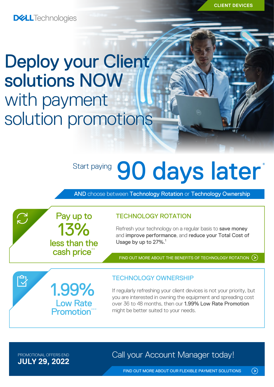**CLIENT DEVICES**

**DELL**Technologies

# Deploy your Client solutions NOW with payment solution promotions

13%

Pay up to

less than the cash price\*

1.99%

Low Rate **Promotion**<sup>\*</sup>

# Start paying 90 days later<sup>\*</sup>

AND choose between Technology Rotation or Technology Ownership

TECHNOLOGY ROTATION

Refresh your technology on a regular basis to save money and improve performance, and reduce your Total Cost of Usage by up to 27%.<sup>1</sup>

FIND OUT MORE ABOUT THE [BENEFITS OF TECHNOLOGY ROTATION](https://www.delltechnologies.com/en-ie/payment-solutions/leasing.htm#tab0=0)  $($ 

TECHNOLOGY OWNERSHIP

If regularly refreshing your client devices is not your priority, but you are interested in owning the equipment and spreading cost over 36 to 48 months, then our 1.99% Low Rate Promotion might be better suited to your needs.

**JULY 29, 2022**

 $\sum$ 

 $\bar{\mathbb{Z}}$ 

PROMOTIONAL OFFERS END **Call your Account Manager today!** 

FIND OUT MORE ABOUT OUR [FLEXIBLE PAYMENT SOLUTIONS](https://www.delltechnologies.com/en-ie/payment-solutions/index.htm#tab0=0)

 $\odot$